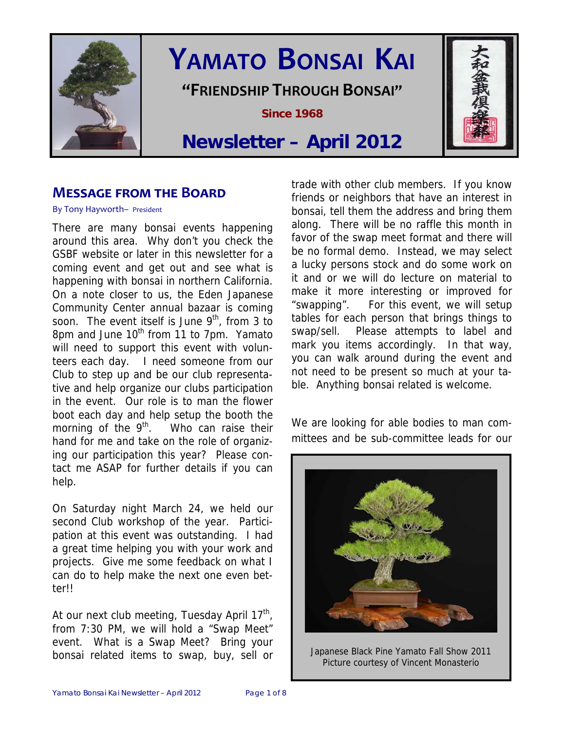

# **YAMATO BONSAI KAI**

**"FRIENDSHIP THROUGH BONSAI"**

**Since 1968** 



## **Newsletter – April 2012**

## **MESSAGE FROM THE BOARD**

By Tony Hayworth– President

There are many bonsai events happening around this area. Why don't you check the GSBF website or later in this newsletter for a coming event and get out and see what is happening with bonsai in northern California. On a note closer to us, the Eden Japanese Community Center annual bazaar is coming soon. The event itself is June  $9<sup>th</sup>$ , from 3 to 8pm and June 10<sup>th</sup> from 11 to 7pm. Yamato will need to support this event with volunteers each day. I need someone from our Club to step up and be our club representative and help organize our clubs participation in the event. Our role is to man the flower boot each day and help setup the booth the morning of the  $9<sup>th</sup>$ . Who can raise their hand for me and take on the role of organizing our participation this year? Please contact me ASAP for further details if you can help.

On Saturday night March 24, we held our second Club workshop of the year. Participation at this event was outstanding. I had a great time helping you with your work and projects. Give me some feedback on what I can do to help make the next one even better!!

At our next club meeting, Tuesday April  $17<sup>th</sup>$ , from 7:30 PM, we will hold a "Swap Meet" event. What is a Swap Meet? Bring your bonsai related items to swap, buy, sell or trade with other club members. If you know friends or neighbors that have an interest in bonsai, tell them the address and bring them along. There will be no raffle this month in favor of the swap meet format and there will be no formal demo. Instead, we may select a lucky persons stock and do some work on it and or we will do lecture on material to make it more interesting or improved for "swapping". For this event, we will setup tables for each person that brings things to swap/sell. Please attempts to label and mark you items accordingly. In that way, you can walk around during the event and not need to be present so much at your table. Anything bonsai related is welcome.

We are looking for able bodies to man committees and be sub-committee leads for our



Japanese Black Pine Yamato Fall Show 2011 Picture courtesy of Vincent Monasterio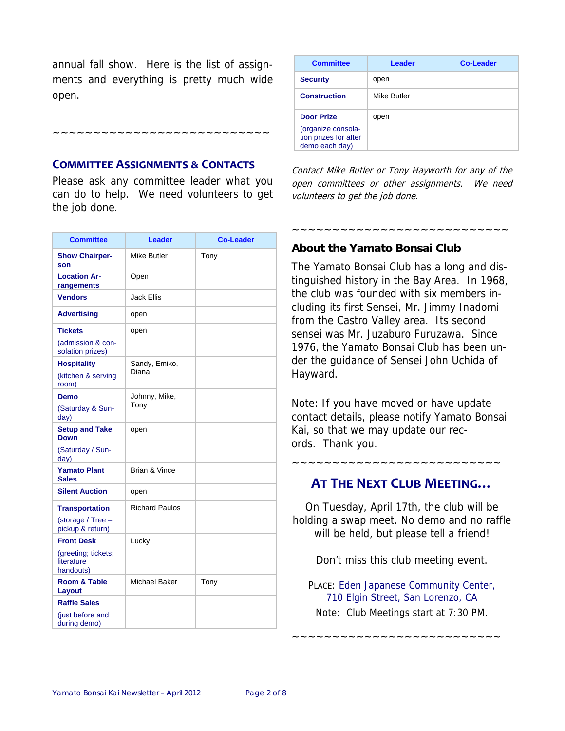annual fall show. Here is the list of assignments and everything is pretty much wide open.

~~~~~~~~~~~~~~~~~~~~~~~~~~~

## **COMMITTEE ASSIGNMENTS & CONTACTS**

Please ask any committee leader what you can do to help. We need volunteers to get the job done.

| <b>Committee</b>                               | Leader                 | Co-Leader |
|------------------------------------------------|------------------------|-----------|
| <b>Show Chairper-</b><br>son                   | Mike Butler            | Tony      |
| <b>Location Ar-</b><br>rangements              | Open                   |           |
| <b>Vendors</b>                                 | Jack Ellis             |           |
| <b>Advertising</b>                             | open                   |           |
| <b>Tickets</b>                                 | open                   |           |
| (admission & con-<br>solation prizes)          |                        |           |
| <b>Hospitality</b>                             | Sandy, Emiko,<br>Diana |           |
| (kitchen & serving<br>room)                    |                        |           |
| Demo                                           | Johnny, Mike,<br>Tony  |           |
| (Saturday & Sun-<br>day)                       |                        |           |
| <b>Setup and Take</b><br><b>Down</b>           | open                   |           |
| (Saturday / Sun-<br>day)                       |                        |           |
| <b>Yamato Plant</b><br><b>Sales</b>            | Brian & Vince          |           |
| <b>Silent Auction</b>                          | open                   |           |
| <b>Transportation</b>                          | <b>Richard Paulos</b>  |           |
| (storage / Tree -<br>pickup & return)          |                        |           |
| <b>Front Desk</b>                              | Lucky                  |           |
| (greeting; tickets;<br>literature<br>handouts) |                        |           |
| <b>Room &amp; Table</b><br>Layout              | Michael Baker          | Tony      |
| <b>Raffle Sales</b>                            |                        |           |
| (just before and<br>during demo)               |                        |           |

| <b>Committee</b>                                              | <b>Leader</b> | <b>Co-Leader</b> |
|---------------------------------------------------------------|---------------|------------------|
| <b>Security</b>                                               | open          |                  |
| <b>Construction</b>                                           | Mike Butler   |                  |
| <b>Door Prize</b>                                             | open          |                  |
| (organize consola-<br>tion prizes for after<br>demo each day) |               |                  |

Contact Mike Butler or Tony Hayworth for any of the open committees or other assignments. We need volunteers to get the job done.

~~~~~~~~~~~~~~~~~~~~~~~~~~~

#### **About the Yamato Bonsai Club**

The Yamato Bonsai Club has a long and distinguished history in the Bay Area. In 1968, the club was founded with six members including its first Sensei, Mr. Jimmy Inadomi from the Castro Valley area. Its second sensei was Mr. Juzaburo Furuzawa. Since 1976, the Yamato Bonsai Club has been under the guidance of Sensei John Uchida of Hayward.

Note: If you have moved or have update contact details, please notify Yamato Bonsai Kai, so that we may update our records. Thank you.

## **AT THE NEXT CLUB MEETING…**

~~~~~~~~~~~~~~~~~~~~~~~~~~

On Tuesday, April 17th, the club will be holding a swap meet. No demo and no raffle will be held, but please tell a friend!

Don't miss this club meeting event.

PLACE: Eden Japanese Community Center, 710 Elgin Street, San Lorenzo, CA Note: Club Meetings start at 7:30 PM.

~~~~~~~~~~~~~~~~~~~~~~~~~~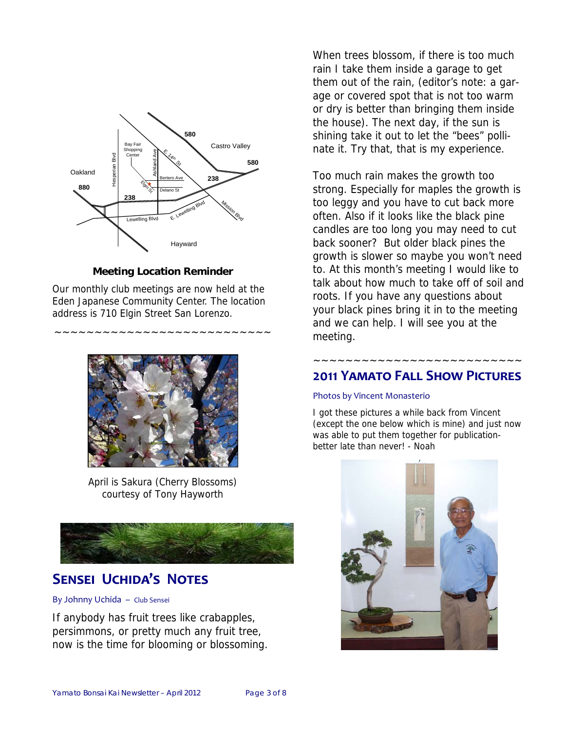

**Meeting Location Reminder** 

Our monthly club meetings are now held at the Eden Japanese Community Center. The location address is 710 Elgin Street San Lorenzo.

~~~~~~~~~~~~~~~~~~~~~~~~~~~



April is Sakura (Cherry Blossoms) courtesy of Tony Hayworth



## **SENSEI UCHIDA'S NOTES**

#### By Johnny Uchida – Club Sensei

If anybody has fruit trees like crabapples, persimmons, or pretty much any fruit tree, now is the time for blooming or blossoming. When trees blossom, if there is too much rain I take them inside a garage to get them out of the rain, (editor's note: a garage or covered spot that is not too warm or dry is better than bringing them inside the house). The next day, if the sun is shining take it out to let the "bees" pollinate it. Try that, that is my experience.

Too much rain makes the growth too strong. Especially for maples the growth is too leggy and you have to cut back more often. Also if it looks like the black pine candles are too long you may need to cut back sooner? But older black pines the growth is slower so maybe you won't need to. At this month's meeting I would like to talk about how much to take off of soil and roots. If you have any questions about your black pines bring it in to the meeting and we can help. I will see you at the meeting.

## ~~~~~~~~~~~~~~~~~~~~~~~~~~ **2011 YAMATO FALL SHOW PICTURES**

#### Photos by Vincent Monasterio

I got these pictures a while back from Vincent (except the one below which is mine) and just now was able to put them together for publicationbetter late than never! - Noah

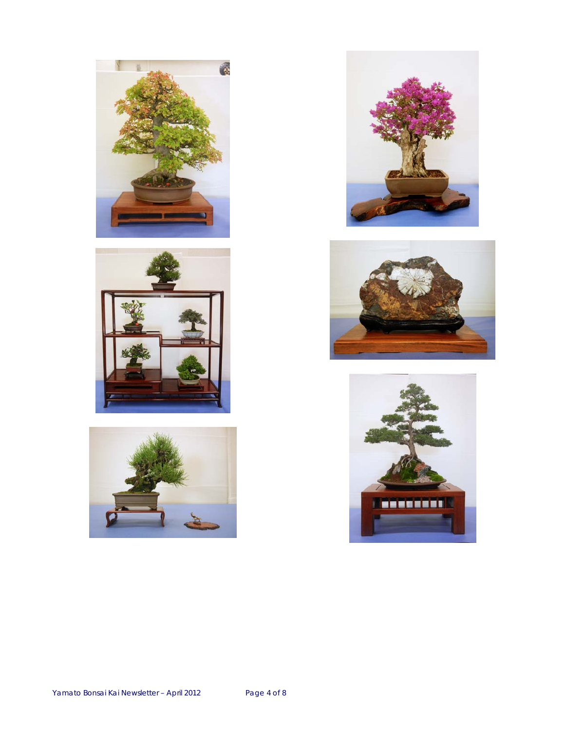









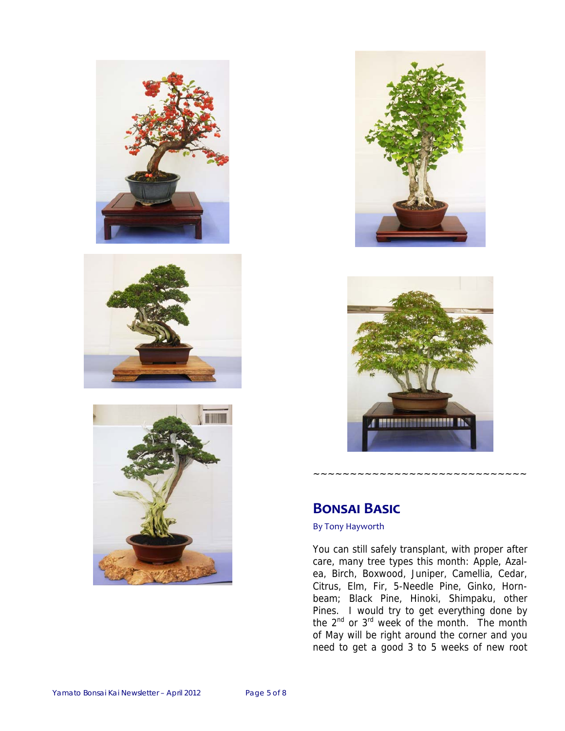









~~~~~~~~~~~~~~~~~~~~~~~~~~

## **BONSAI BASIC**

#### By Tony Hayworth

You can still safely transplant, with proper after care, many tree types this month: Apple, Azalea, Birch, Boxwood, Juniper, Camellia, Cedar, Citrus, Elm, Fir, 5-Needle Pine, Ginko, Hornbeam; Black Pine, Hinoki, Shimpaku, other Pines. I would try to get everything done by the  $2^{nd}$  or  $3^{rd}$  week of the month. The month of May will be right around the corner and you need to get a good 3 to 5 weeks of new root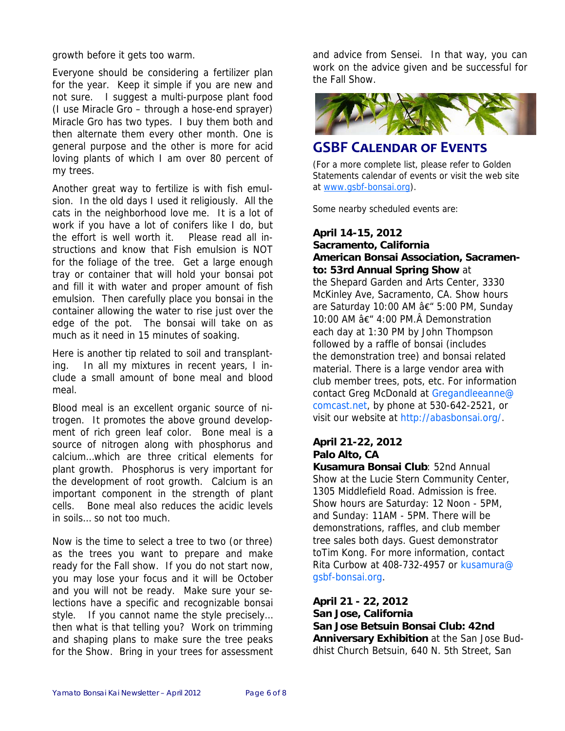growth before it gets too warm.

Everyone should be considering a fertilizer plan for the year. Keep it simple if you are new and not sure. I suggest a multi-purpose plant food (I use Miracle Gro – through a hose-end sprayer) Miracle Gro has two types. I buy them both and then alternate them every other month. One is general purpose and the other is more for acid loving plants of which I am over 80 percent of my trees.

Another great way to fertilize is with fish emulsion. In the old days I used it religiously. All the cats in the neighborhood love me. It is a lot of work if you have a lot of conifers like I do, but the effort is well worth it. Please read all instructions and know that Fish emulsion is NOT for the foliage of the tree. Get a large enough tray or container that will hold your bonsai pot and fill it with water and proper amount of fish emulsion. Then carefully place you bonsai in the container allowing the water to rise just over the edge of the pot. The bonsai will take on as much as it need in 15 minutes of soaking.

Here is another tip related to soil and transplanting. In all my mixtures in recent years, I include a small amount of bone meal and blood meal.

Blood meal is an excellent organic source of nitrogen. It promotes the above ground development of rich green leaf color. Bone meal is a source of nitrogen along with phosphorus and calcium…which are three critical elements for plant growth. Phosphorus is very important for the development of root growth. Calcium is an important component in the strength of plant cells. Bone meal also reduces the acidic levels in soils… so not too much.

Now is the time to select a tree to two (or three) as the trees you want to prepare and make ready for the Fall show. If you do not start now, you may lose your focus and it will be October and you will not be ready. Make sure your selections have a specific and recognizable bonsai style. If you cannot name the style precisely… then what is that telling you? Work on trimming and shaping plans to make sure the tree peaks for the Show. Bring in your trees for assessment

and advice from Sensei. In that way, you can work on the advice given and be successful for the Fall Show.



## **GSBF CALENDAR OF EVENTS**

(For a more complete list, please refer to Golden Statements calendar of events or visit the web site at www.gsbf-bonsai.org).

Some nearby scheduled events are:

**April 14-15, 2012** 

**Sacramento, California American Bonsai Association, Sacramento: 53rd Annual Spring Show** at the Shepard Garden and Arts Center, 3330 McKinley Ave, Sacramento, CA. Show hours are Saturday 10:00 AM â€" 5:00 PM, Sunday 10:00 AM â€" 4:00 PM. Demonstration each day at 1:30 PM by John Thompson followed by a raffle of bonsai (includes the demonstration tree) and bonsai related material. There is a large vendor area with club member trees, pots, etc. For information contact Greg McDonald at Gregandleeanne@ comcast.net, by phone at 530-642-2521, or visit our website at http://abasbonsai.org/.

### **April 21-22, 2012 Palo Alto, CA**

**Kusamura Bonsai Club**: 52nd Annual Show at the Lucie Stern Community Center, 1305 Middlefield Road. Admission is free. Show hours are Saturday: 12 Noon - 5PM, and Sunday: 11AM - 5PM. There will be demonstrations, raffles, and club member tree sales both days. Guest demonstrator toTim Kong. For more information, contact Rita Curbow at 408-732-4957 or kusamura@ gsbf-bonsai.org.

## **April 21 - 22, 2012**

**San Jose, California San Jose Betsuin Bonsai Club: 42nd Anniversary Exhibition** at the San Jose Buddhist Church Betsuin, 640 N. 5th Street, San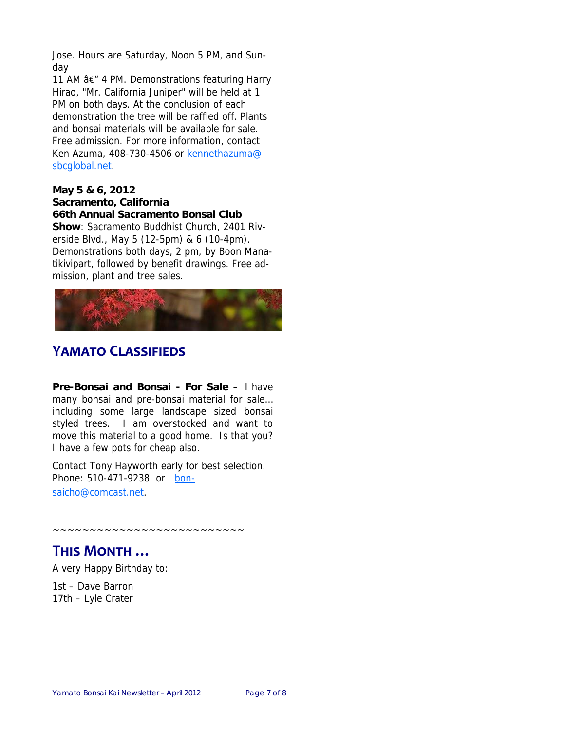Jose. Hours are Saturday, Noon 5 PM, and Sunday

11 AM â€" 4 PM. Demonstrations featuring Harry Hirao, "Mr. California Juniper" will be held at 1 PM on both days. At the conclusion of each demonstration the tree will be raffled off. Plants and bonsai materials will be available for sale. Free admission. For more information, contact Ken Azuma, 408-730-4506 or kennethazuma@ sbcglobal.net.

#### **May 5 & 6, 2012 Sacramento, California 66th Annual Sacramento Bonsai Club**

**Show**: Sacramento Buddhist Church, 2401 Riverside Blvd., May 5 (12-5pm) & 6 (10-4pm). Demonstrations both days, 2 pm, by Boon Manatikivipart, followed by benefit drawings. Free admission, plant and tree sales.

## **YAMATO CLASSIFIEDS**

**Pre-Bonsai and Bonsai - For Sale** – I have many bonsai and pre-bonsai material for sale… including some large landscape sized bonsai styled trees. I am overstocked and want to move this material to a good home. Is that you? I have a few pots for cheap also.

Contact Tony Hayworth early for best selection. Phone: 510-471-9238 or bonsaicho@comcast.net.

~~~~~~~~~~~~~~~~~~~~~~~~~~

## **THIS MONTH …**

A very Happy Birthday to:

1st – Dave Barron 17th – Lyle Crater